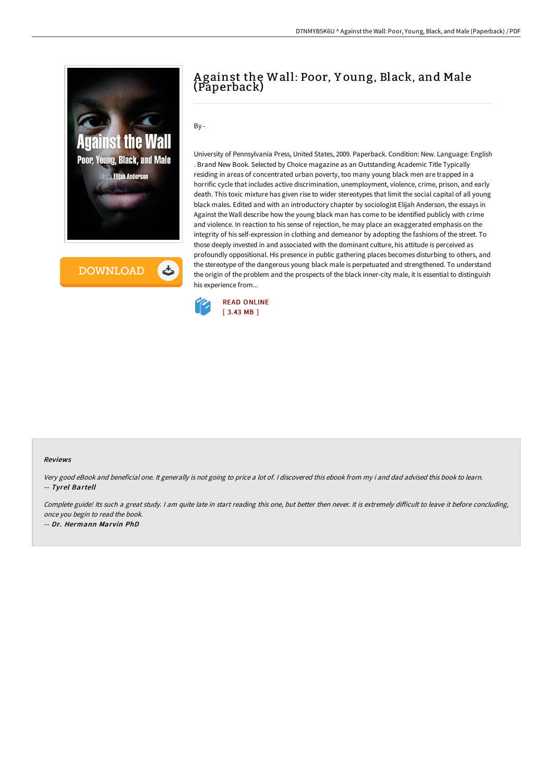

**DOWNLOAD** 

## A gainst the Wall: Poor, Y oung, Black, and Male (Paperback)

 $Bv -$ 

University of Pennsylvania Press, United States, 2009. Paperback. Condition: New. Language: English . Brand New Book. Selected by Choice magazine as an Outstanding Academic Title Typically residing in areas of concentrated urban poverty, too many young black men are trapped in a horrific cycle that includes active discrimination, unemployment, violence, crime, prison, and early death. This toxic mixture has given rise to wider stereotypes that limit the social capital of all young black males. Edited and with an introductory chapter by sociologist Elijah Anderson, the essays in Against the Wall describe how the young black man has come to be identified publicly with crime and violence. In reaction to his sense of rejection, he may place an exaggerated emphasis on the integrity of his self-expression in clothing and demeanor by adopting the fashions of the street. To those deeply invested in and associated with the dominant culture, his attitude is perceived as profoundly oppositional. His presence in public gathering places becomes disturbing to others, and the stereotype of the dangerous young black male is perpetuated and strengthened. To understand the origin of the problem and the prospects of the black inner-city male, it is essential to distinguish his experience from...



## Reviews

Very good eBook and beneficial one. It generally is not going to price <sup>a</sup> lot of. <sup>I</sup> discovered this ebook from my i and dad advised this book to learn. -- Tyrel Bartell

Complete guide! Its such a great study. I am quite late in start reading this one, but better then never. It is extremely difficult to leave it before concluding, once you begin to read the book.

-- Dr. Hermann Marvin PhD